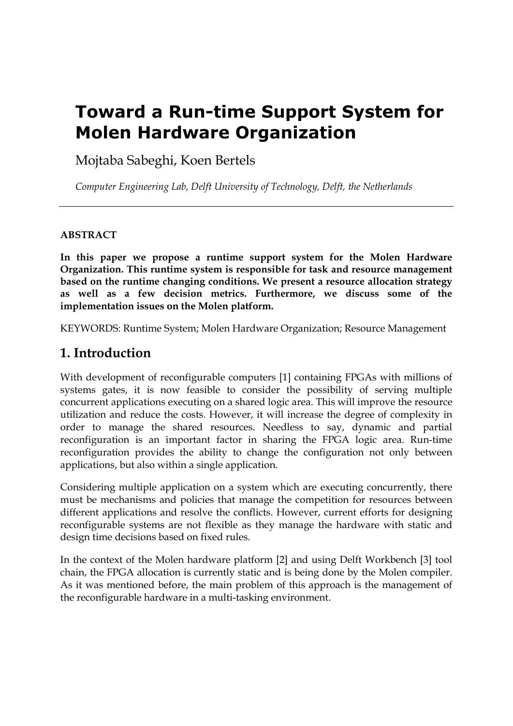# **Toward a Run-time Support System for Molen Hardware Organization**

Mojtaba Sabeghi, Koen Bertels

*Computer Engineering Lab, Delft University of Technology, Delft, the Netherlands* 

#### **ABSTRACT**

**In this paper we propose a runtime support system for the Molen Hardware Organization. This runtime system is responsible for task and resource management based on the runtime changing conditions. We present a resource allocation strategy as well as a few decision metrics. Furthermore, we discuss some of the implementation issues on the Molen platform.** 

KEYWORDS: Runtime System; Molen Hardware Organization; Resource Management

## **1. Introduction**

With development of reconfigurable computers [1] containing FPGAs with millions of systems gates, it is now feasible to consider the possibility of serving multiple concurrent applications executing on a shared logic area. This will improve the resource utilization and reduce the costs. However, it will increase the degree of complexity in order to manage the shared resources. Needless to say, dynamic and partial reconfiguration is an important factor in sharing the FPGA logic area. Run-time reconfiguration provides the ability to change the configuration not only between applications, but also within a single application.

Considering multiple application on a system which are executing concurrently, there must be mechanisms and policies that manage the competition for resources between different applications and resolve the conflicts. However, current efforts for designing reconfigurable systems are not flexible as they manage the hardware with static and design time decisions based on fixed rules.

In the context of the Molen hardware platform [2] and using Delft Workbench [3] tool chain, the FPGA allocation is currently static and is being done by the Molen compiler. As it was mentioned before, the main problem of this approach is the management of the reconfigurable hardware in a multi-tasking environment.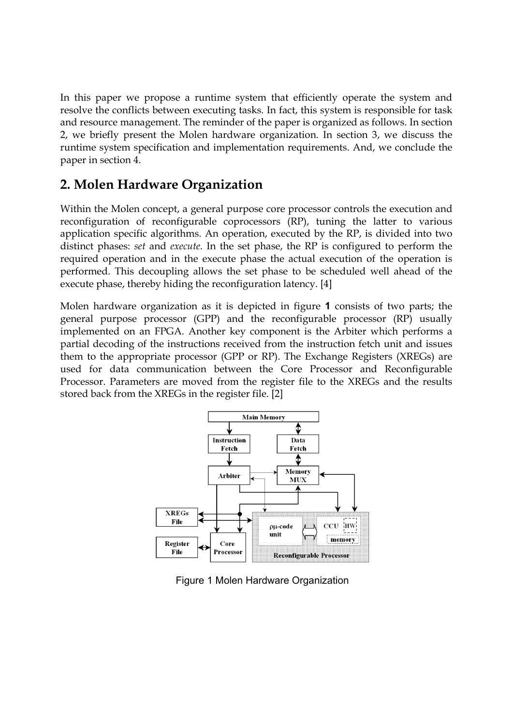In this paper we propose a runtime system that efficiently operate the system and resolve the conflicts between executing tasks. In fact, this system is responsible for task and resource management. The reminder of the paper is organized as follows. In section 2, we briefly present the Molen hardware organization. In section 3, we discuss the runtime system specification and implementation requirements. And, we conclude the paper in section 4.

### **2. Molen Hardware Organization**

Within the Molen concept, a general purpose core processor controls the execution and reconfiguration of reconfigurable coprocessors (RP), tuning the latter to various application specific algorithms. An operation, executed by the RP, is divided into two distinct phases: *set* and *execute*. In the set phase, the RP is configured to perform the required operation and in the execute phase the actual execution of the operation is performed. This decoupling allows the set phase to be scheduled well ahead of the execute phase, thereby hiding the reconfiguration latency. [4]

Molen hardware organization as it is depicted in figure **1** consists of two parts; the general purpose processor (GPP) and the reconfigurable processor (RP) usually implemented on an FPGA. Another key component is the Arbiter which performs a partial decoding of the instructions received from the instruction fetch unit and issues them to the appropriate processor (GPP or RP). The Exchange Registers (XREGs) are used for data communication between the Core Processor and Reconfigurable Processor. Parameters are moved from the register file to the XREGs and the results stored back from the XREGs in the register file. [2]



Figure 1 Molen Hardware Organization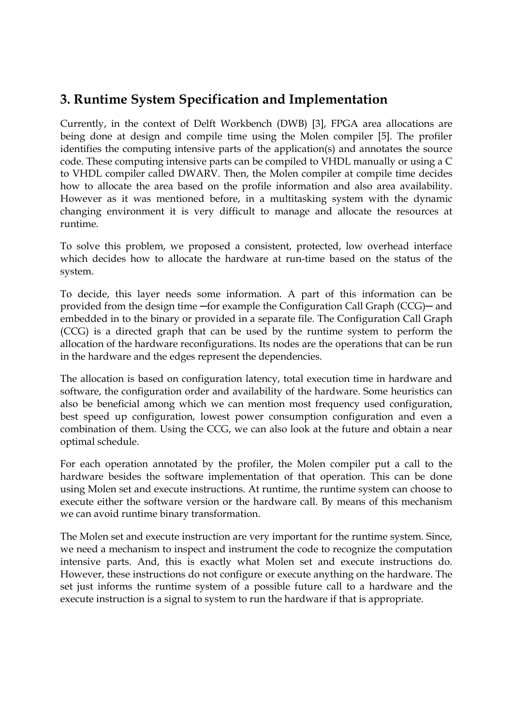## **3. Runtime System Specification and Implementation**

Currently, in the context of Delft Workbench (DWB) [3], FPGA area allocations are being done at design and compile time using the Molen compiler [5]. The profiler identifies the computing intensive parts of the application(s) and annotates the source code. These computing intensive parts can be compiled to VHDL manually or using a C to VHDL compiler called DWARV. Then, the Molen compiler at compile time decides how to allocate the area based on the profile information and also area availability. However as it was mentioned before, in a multitasking system with the dynamic changing environment it is very difficult to manage and allocate the resources at runtime.

To solve this problem, we proposed a consistent, protected, low overhead interface which decides how to allocate the hardware at run-time based on the status of the system.

To decide, this layer needs some information. A part of this information can be provided from the design time ─for example the Configuration Call Graph (CCG)─ and embedded in to the binary or provided in a separate file. The Configuration Call Graph (CCG) is a directed graph that can be used by the runtime system to perform the allocation of the hardware reconfigurations. Its nodes are the operations that can be run in the hardware and the edges represent the dependencies.

The allocation is based on configuration latency, total execution time in hardware and software, the configuration order and availability of the hardware. Some heuristics can also be beneficial among which we can mention most frequency used configuration, best speed up configuration, lowest power consumption configuration and even a combination of them. Using the CCG, we can also look at the future and obtain a near optimal schedule.

For each operation annotated by the profiler, the Molen compiler put a call to the hardware besides the software implementation of that operation. This can be done using Molen set and execute instructions. At runtime, the runtime system can choose to execute either the software version or the hardware call. By means of this mechanism we can avoid runtime binary transformation.

The Molen set and execute instruction are very important for the runtime system. Since, we need a mechanism to inspect and instrument the code to recognize the computation intensive parts. And, this is exactly what Molen set and execute instructions do. However, these instructions do not configure or execute anything on the hardware. The set just informs the runtime system of a possible future call to a hardware and the execute instruction is a signal to system to run the hardware if that is appropriate.